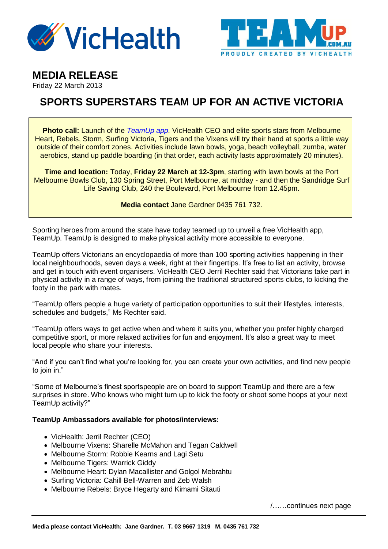



**MEDIA RELEASE** 

Friday 22 March 2013

## **SPORTS SUPERSTARS TEAM UP FOR AN ACTIVE VICTORIA**

**Photo call:** Launch of the *[TeamUp app.](http://www.teamup.com.au/favicon.ico)* VicHealth CEO and elite sports stars from Melbourne Heart, Rebels, Storm, Surfing Victoria, Tigers and the Vixens will try their hand at sports a little way outside of their comfort zones. Activities include lawn bowls, yoga, beach volleyball, zumba, water aerobics, stand up paddle boarding (in that order, each activity lasts approximately 20 minutes).

**Time and location:** Today, **Friday 22 March at 12-3pm**, starting with lawn bowls at the Port Melbourne Bowls Club, 130 Spring Street, Port Melbourne, at midday - and then the Sandridge Surf Life Saving Club, 240 the Boulevard, Port Melbourne from 12.45pm.

**Media contact** Jane Gardner 0435 761 732.

Sporting heroes from around the state have today teamed up to unveil a free VicHealth app, TeamUp. TeamUp is designed to make physical activity more accessible to everyone.

TeamUp offers Victorians an encyclopaedia of more than 100 sporting activities happening in their local neighbourhoods, seven days a week, right at their fingertips. It's free to list an activity, browse and get in touch with event organisers. VicHealth CEO Jerril Rechter said that Victorians take part in physical activity in a range of ways, from joining the traditional structured sports clubs, to kicking the footy in the park with mates.

"TeamUp offers people a huge variety of participation opportunities to suit their lifestyles, interests, schedules and budgets," Ms Rechter said.

"TeamUp offers ways to get active when and where it suits you, whether you prefer highly charged competitive sport, or more relaxed activities for fun and enjoyment. It's also a great way to meet local people who share your interests.

"And if you can't find what you're looking for, you can create your own activities, and find new people to join in."

"Some of Melbourne's finest sportspeople are on board to support TeamUp and there are a few surprises in store. Who knows who might turn up to kick the footy or shoot some hoops at your next TeamUp activity?"

## **TeamUp Ambassadors available for photos/interviews:**

- VicHealth: Jerril Rechter (CEO)
- Melbourne Vixens: Sharelle McMahon and Tegan Caldwell
- Melbourne Storm: Robbie Kearns and Lagi Setu
- Melbourne Tigers: Warrick Giddy
- Melbourne Heart: Dylan Macallister and Golgol Mebrahtu
- Surfing Victoria: Cahill Bell-Warren and Zeb Walsh
- Melbourne Rebels: Bryce Hegarty and Kimami Sitauti

/……continues next page